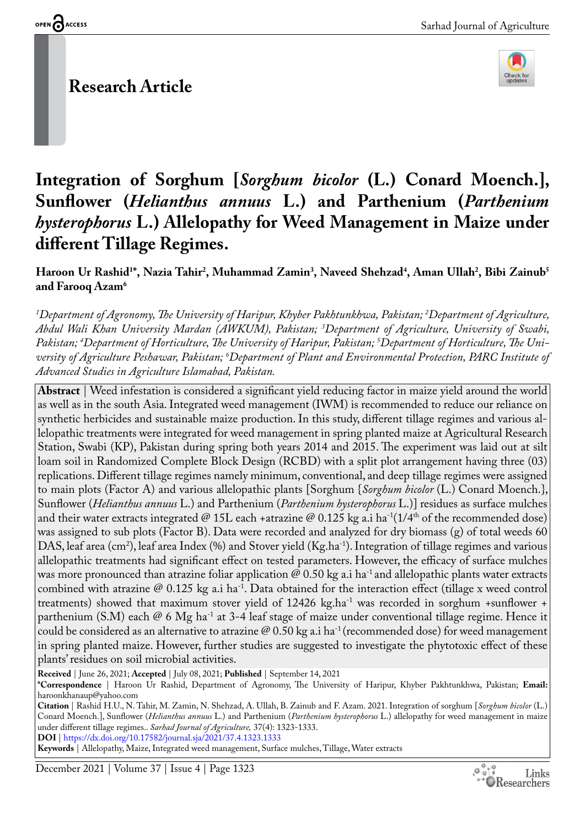## **Research Article**



# **Integration of Sorghum [***Sorghum bicolor* **(L.) Conard Moench.], Sunflower (***Helianthus annuus* **L.) and Parthenium (***Parthenium hysterophorus* **L.) Allelopathy for Weed Management in Maize under different Tillage Regimes.**

**Haroon Ur Rashid1 \*, Nazia Tahir2 , Muhammad Zamin3 , Naveed Shehzad4 , Aman Ullah2 , Bibi Zainub5 and Farooq Azam6**

*1 Department of Agronomy, The University of Haripur, Khyber Pakhtunkhwa, Pakistan; 2 Department of Agriculture, Abdul Wali Khan University Mardan (AWKUM), Pakistan; 3 Department of Agriculture, University of Swabi, Pakistan; 4 Department of Horticulture, The University of Haripur, Pakistan; 5 Department of Horticulture, The University of Agriculture Peshawar, Pakistan; 6 Department of Plant and Environmental Protection, PARC Institute of Advanced Studies in Agriculture Islamabad, Pakistan.*

**Abstract** | Weed infestation is considered a significant yield reducing factor in maize yield around the world as well as in the south Asia. Integrated weed management (IWM) is recommended to reduce our reliance on synthetic herbicides and sustainable maize production. In this study, different tillage regimes and various allelopathic treatments were integrated for weed management in spring planted maize at Agricultural Research Station, Swabi (KP), Pakistan during spring both years 2014 and 2015. The experiment was laid out at silt loam soil in Randomized Complete Block Design (RCBD) with a split plot arrangement having three (03) replications. Different tillage regimes namely minimum, conventional, and deep tillage regimes were assigned to main plots (Factor A) and various allelopathic plants [Sorghum {*Sorghum bicolor* (L.) Conard Moench.}, Sunflower (*Helianthus annuus* L.) and Parthenium (*Parthenium hysterophorus* L.)] residues as surface mulches and their water extracts integrated @ 15L each +atrazine @ 0.125 kg a.i ha<sup>-1</sup>(1/4<sup>th</sup> of the recommended dose) was assigned to sub plots (Factor B). Data were recorded and analyzed for dry biomass (g) of total weeds 60 DAS, leaf area (cm2 ), leaf area Index (%) and Stover yield (Kg.ha-1). Integration of tillage regimes and various allelopathic treatments had significant effect on tested parameters. However, the efficacy of surface mulches was more pronounced than atrazine foliar application  $\omega$  0.50 kg a.i ha<sup>-1</sup> and allelopathic plants water extracts combined with atrazine  $\mathcal{Q}$  0.125 kg a.i ha<sup>-1</sup>. Data obtained for the interaction effect (tillage x weed control treatments) showed that maximum stover yield of 12426 kg.ha<sup>-1</sup> was recorded in sorghum +sunflower + parthenium (S.M) each @ 6 Mg ha<sup>-1</sup> at 3-4 leaf stage of maize under conventional tillage regime. Hence it could be considered as an alternative to atrazine  $\mathcal{Q}$  0.50 kg a.i ha<sup>-1</sup> (recommended dose) for weed management in spring planted maize. However, further studies are suggested to investigate the phytotoxic effect of these plants' residues on soil microbial activities.

**Received** | June 26, 2021; **Accepted** | July 08, 2021; **Published** | September 14, 2021

**DOI** | <https://dx.doi.org/10.17582/journal.sja/2021/37.4.1323.1333> **Keywords** | Allelopathy, Maize, Integrated weed management, Surface mulches, Tillage, Water extracts

December 2021 | Volume 37 | Issue 4 | Page 1323

**<sup>\*</sup>Correspondence** | Haroon Ur Rashid, Department of Agronomy, The University of Haripur, Khyber Pakhtunkhwa, Pakistan; **Email:**  haroonkhanaup@yahoo.com

**Citation** | Rashid H.U., N. Tahir, M. Zamin, N. Shehzad, A. Ullah, B. Zainub and F. Azam. 2021. Integration of sorghum [*Sorghum bicolor* (L.) Conard Moench.], Sunflower (*Helianthus annuus* L.) and Parthenium (*Parthenium hysterophorus* L.) allelopathy for weed management in maize under different tillage regimes.. *Sarhad Journal of Agriculture,* 37(4): 1323-1333.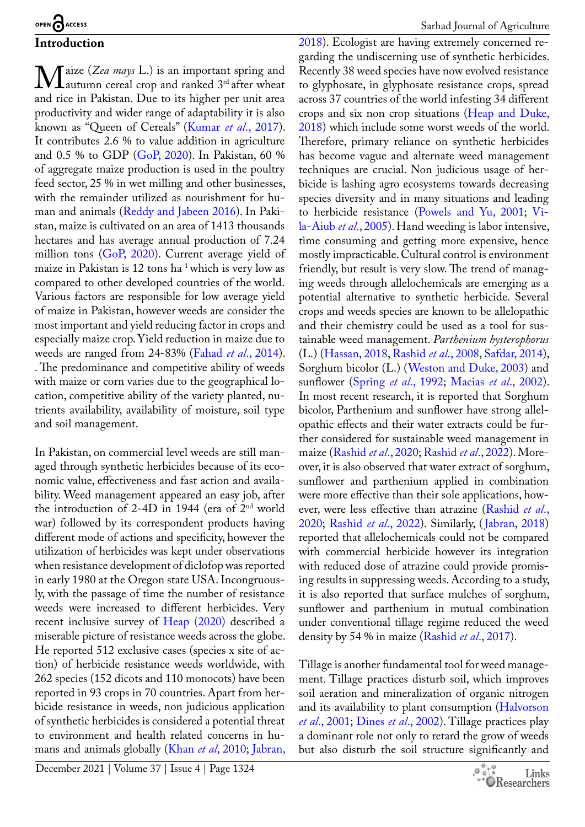**Introduction M**aize (*Zea mays* L.) is an important spring and<br>and rice in Pakistan. Due to its higher ner unit area autumn cereal crop and ranked 3rd after wheat and rice in Pakistan. Due to its higher per unit area productivity and wider range of adaptability it is also known as "Queen of Cereals" ([Kumar](#page-9-0) *et al*., 2017). It contributes 2.6 % to value addition in agriculture and 0.5 % to GDP [\(GoP, 2020\)](#page-8-0). In Pakistan, 60 % of aggregate maize production is used in the poultry feed sector, 25 % in wet milling and other businesses, with the remainder utilized as nourishment for human and animals [\(Reddy and Jabeen 2016](#page-10-0)). In Pakistan, maize is cultivated on an area of 1413 thousands hectares and has average annual production of 7.24 million tons [\(GoP, 2020](#page-8-0)). Current average yield of maize in Pakistan is  $12$  tons ha<sup>-1</sup> which is very low as compared to other developed countries of the world. Various factors are responsible for low average yield

of maize in Pakistan, however weeds are consider the most important and yield reducing factor in crops and especially maize crop. Yield reduction in maize due to weeds are ranged from 24-83% (Fahad *et al*[., 2014\)](#page-8-1). . The predominance and competitive ability of weeds with maize or corn varies due to the geographical location, competitive ability of the variety planted, nutrients availability, availability of moisture, soil type and soil management.

In Pakistan, on commercial level weeds are still managed through synthetic herbicides because of its economic value, effectiveness and fast action and availability. Weed management appeared an easy job, after the introduction of 2-4D in 1944 (era of  $2<sup>nd</sup>$  world war) followed by its correspondent products having different mode of actions and specificity, however the utilization of herbicides was kept under observations when resistance development of diclofop was reported in early 1980 at the Oregon state USA. Incongruously, with the passage of time the number of resistance weeds were increased to different herbicides. Very recent inclusive survey of [Heap \(2020\)](#page-8-2) described a miserable picture of resistance weeds across the globe. He reported 512 exclusive cases (species x site of action) of herbicide resistance weeds worldwide, with 262 species (152 dicots and 110 monocots) have been reported in 93 crops in 70 countries. Apart from herbicide resistance in weeds, non judicious application of synthetic herbicides is considered a potential threat to environment and health related concerns in humans and animals globally (Khan *et al*[, 2010](#page-9-1)[; Jabran,](#page-9-2) 

December 2021 | Volume 37 | Issue 4 | Page 1324

[2018](#page-9-2)). Ecologist are having extremely concerned regarding the undiscerning use of synthetic herbicides. Recently 38 weed species have now evolved resistance to glyphosate, in glyphosate resistance crops, spread across 37 countries of the world infesting 34 different crops and six non crop situations [\(Heap and Duke,](#page-8-3)  [2018](#page-8-3)) which include some worst weeds of the world. Therefore, primary reliance on synthetic herbicides has become vague and alternate weed management techniques are crucial. Non judicious usage of herbicide is lashing agro ecosystems towards decreasing species diversity and in many situations and leading to herbicide resistance ([Powels and Yu, 2001](#page-9-3); [Vi](#page-10-1)[la-Aiub](#page-10-1) *et al*., 2005). Hand weeding is labor intensive, time consuming and getting more expensive, hence mostly impracticable. Cultural control is environment friendly, but result is very slow. The trend of managing weeds through allelochemicals are emerging as a potential alternative to synthetic herbicide. Several crops and weeds species are known to be allelopathic and their chemistry could be used as a tool for sustainable weed management. *Parthenium hysterophorus* (L.) ([Hassan, 2018](#page-8-4), [Rashid](#page-9-4) *et al*., 2008, [Safdar, 2014](#page-10-2)), Sorghum bicolor (L.) ([Weston and Duke, 2003\)](#page-10-3) and sunflower (Spring *et al*., 1992; Macias *et al*., 2002). In most recent research, it is reported that Sorghum bicolor, Parthenium and sunflower have strong allelopathic effects and their water extracts could be further considered for sustainable weed management in maize [\(Rashid](#page-9-4) *et al*., 2020; [Rashid](#page-9-4) *et al*., 2022). Moreover, it is also observed that water extract of sorghum, sunflower and parthenium applied in combination were more effective than their sole applications, however, were less effective than atrazine ([Rashid](#page-9-4) *et al*., [2020](#page-9-4); [Rashid](#page-9-4) *et al*., 2022). Similarly, ([Jabran, 2018\)](#page-9-2) reported that allelochemicals could not be compared with commercial herbicide however its integration with reduced dose of atrazine could provide promising results in suppressing weeds. According to a study, it is also reported that surface mulches of sorghum, sunflower and parthenium in mutual combination under conventional tillage regime reduced the weed density by 54 % in maize [\(Rashid](#page-9-4) *et al*., 2017).

Tillage is another fundamental tool for weed management. Tillage practices disturb soil, which improves soil aeration and mineralization of organic nitrogen and its availability to plant consumption [\(Halvorson](#page-8-5)  *et al*[., 2001](#page-8-5); Dines *et al*[., 2002](#page-8-6)). Tillage practices play a dominant role not only to retard the grow of weeds but also disturb the soil structure significantly and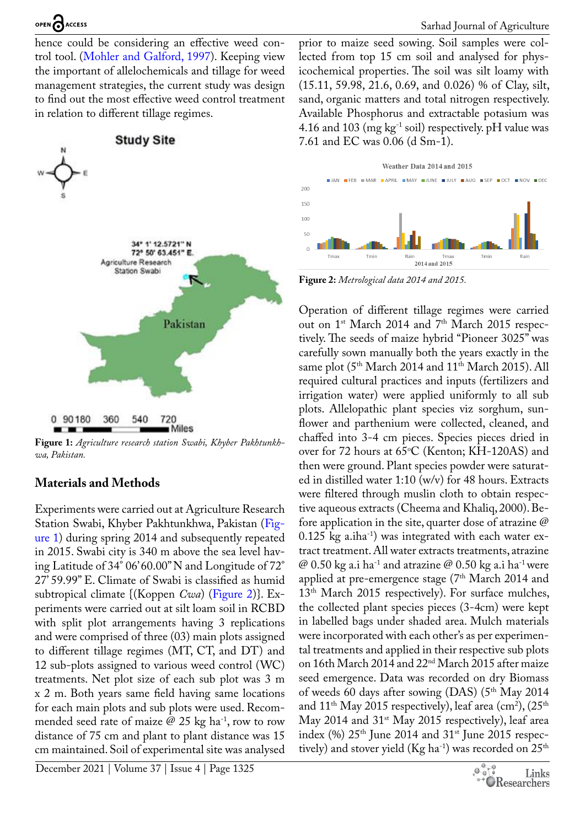hence could be considering an effective weed control tool. ([Mohler and Galford, 1997](#page-9-5)). Keeping view the important of allelochemicals and tillage for weed management strategies, the current study was design to find out the most effective weed control treatment in relation to different tillage regimes.



<span id="page-2-0"></span>**Figure 1:** *Agriculture research station Swabi, Khyber Pakhtunkhwa, Pakistan.*

## **Materials and Methods**

Experiments were carried out at Agriculture Research Station Swabi, Khyber Pakhtunkhwa, Pakistan [\(Fig](#page-2-0)[ure 1\)](#page-2-0) during spring 2014 and subsequently repeated in 2015. Swabi city is 340 m above the sea level having Latitude of 34° 06' 60.00" N and Longitude of 72° 27' 59.99" E. Climate of Swabi is classified as humid subtropical climate {(Koppen *Cwa*) [\(Figure 2](#page-2-1))}. Experiments were carried out at silt loam soil in RCBD with split plot arrangements having 3 replications and were comprised of three (03) main plots assigned to different tillage regimes (MT, CT, and DT) and 12 sub-plots assigned to various weed control (WC) treatments. Net plot size of each sub plot was 3 m x 2 m. Both years same field having same locations for each main plots and sub plots were used. Recommended seed rate of maize  $\varnothing$  25 kg ha<sup>-1</sup>, row to row distance of 75 cm and plant to plant distance was 15 cm maintained. Soil of experimental site was analysed

December 2021 | Volume 37 | Issue 4 | Page 1325

prior to maize seed sowing. Soil samples were collected from top 15 cm soil and analysed for physicochemical properties. The soil was silt loamy with (15.11, 59.98, 21.6, 0.69, and 0.026) % of Clay, silt, sand, organic matters and total nitrogen respectively. Available Phosphorus and extractable potasium was 4.16 and 103 (mg  $kg^{-1}$  soil) respectively. pH value was 7.61 and EC was 0.06 (d Sm-1).



<span id="page-2-1"></span>**Figure 2:** *Metrological data 2014 and 2015.*

Operation of different tillage regimes were carried out on 1<sup>st</sup> March 2014 and 7<sup>th</sup> March 2015 respectively. The seeds of maize hybrid "Pioneer 3025" was carefully sown manually both the years exactly in the same plot (5<sup>th</sup> March 2014 and 11<sup>th</sup> March 2015). All required cultural practices and inputs (fertilizers and irrigation water) were applied uniformly to all sub plots. Allelopathic plant species viz sorghum, sunflower and parthenium were collected, cleaned, and chaffed into 3-4 cm pieces. Species pieces dried in over for 72 hours at  $65^{\circ}$ C (Kenton; KH-120AS) and then were ground. Plant species powder were saturated in distilled water 1:10 (w/v) for 48 hours. Extracts were filtered through muslin cloth to obtain respective aqueous extracts (Cheema and Khaliq, 2000). Before application in the site, quarter dose of atrazine @  $0.125$  kg a.iha<sup>-1</sup>) was integrated with each water extract treatment. All water extracts treatments, atrazine @ 0.50 kg a.i ha<sup>-1</sup> and atrazine @ 0.50 kg a.i ha<sup>-1</sup> were applied at pre-emergence stage  $(7<sup>th</sup> March 2014$  and 13<sup>th</sup> March 2015 respectively). For surface mulches, the collected plant species pieces (3-4cm) were kept in labelled bags under shaded area. Mulch materials were incorporated with each other's as per experimental treatments and applied in their respective sub plots on 16th March 2014 and 22nd March 2015 after maize seed emergence. Data was recorded on dry Biomass of weeds 60 days after sowing  $(DAS)$  (5<sup>th</sup> May 2014) and  $11^{\text{th}}$  May 2015 respectively), leaf area (cm<sup>2</sup>), (25<sup>th</sup> May 2014 and 31<sup>st</sup> May 2015 respectively), leaf area index (%)  $25<sup>th</sup>$  June 2014 and  $31<sup>st</sup>$  June 2015 respectively) and stover yield (Kg ha<sup>-1</sup>) was recorded on  $25<sup>th</sup>$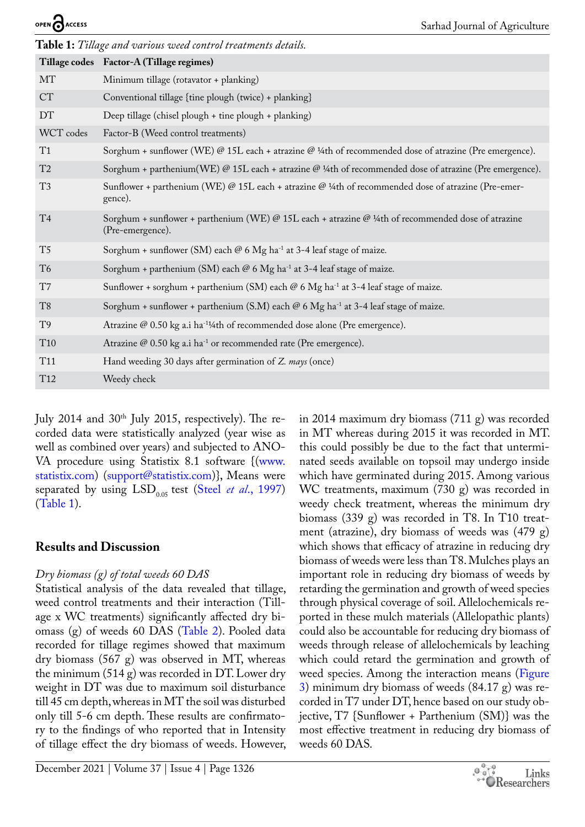<span id="page-3-0"></span>

| OPEN O ACCESS                                                 | Sarhad Journal of Agriculture                                                                                           |  |  |  |
|---------------------------------------------------------------|-------------------------------------------------------------------------------------------------------------------------|--|--|--|
| Table 1: Tillage and various weed control treatments details. |                                                                                                                         |  |  |  |
|                                                               | Tillage codes Factor-A (Tillage regimes)                                                                                |  |  |  |
| MT                                                            | Minimum tillage (rotavator + planking)                                                                                  |  |  |  |
| <b>CT</b>                                                     | Conventional tillage {tine plough (twice) + planking}                                                                   |  |  |  |
| <b>DT</b>                                                     | Deep tillage (chisel plough + tine plough + planking)                                                                   |  |  |  |
| WCT codes                                                     | Factor-B (Weed control treatments)                                                                                      |  |  |  |
| T1                                                            | Sorghum + sunflower (WE) @ 15L each + atrazine @ 1/4th of recommended dose of atrazine (Pre emergence).                 |  |  |  |
| T <sub>2</sub>                                                | Sorghum + parthenium(WE) @ 15L each + atrazine @ 1/4th of recommended dose of atrazine (Pre emergence).                 |  |  |  |
| T <sub>3</sub>                                                | Sunflower + parthenium (WE) @ 15L each + atrazine @ 1/4th of recommended dose of atrazine (Pre-emer-<br>gence).         |  |  |  |
| T <sub>4</sub>                                                | Sorghum + sunflower + parthenium (WE) @ 15L each + atrazine @ 1/4th of recommended dose of atrazine<br>(Pre-emergence). |  |  |  |
| T <sub>5</sub>                                                | Sorghum + sunflower (SM) each @ 6 Mg ha <sup>-1</sup> at 3-4 leaf stage of maize.                                       |  |  |  |
| T <sub>6</sub>                                                | Sorghum + parthenium (SM) each $@$ 6 Mg ha <sup>-1</sup> at 3-4 leaf stage of maize.                                    |  |  |  |
| T7                                                            | Sunflower + sorghum + parthenium (SM) each $@$ 6 Mg ha <sup>-1</sup> at 3-4 leaf stage of maize.                        |  |  |  |
| T <sub>8</sub>                                                | Sorghum + sunflower + parthenium (S.M) each $@$ 6 Mg ha <sup>-1</sup> at 3-4 leaf stage of maize.                       |  |  |  |
| T <sub>9</sub>                                                | Atrazine @ 0.50 kg a.i ha <sup>-11</sup> /4th of recommended dose alone (Pre emergence).                                |  |  |  |
| T <sub>10</sub>                                               | Atrazine @ 0.50 kg a.i ha <sup>-1</sup> or recommended rate (Pre emergence).                                            |  |  |  |
| T <sub>11</sub>                                               | Hand weeding 30 days after germination of Z. mays (once)                                                                |  |  |  |
| T <sub>12</sub>                                               | Weedy check                                                                                                             |  |  |  |

July 2014 and 30<sup>th</sup> July 2015, respectively). The recorded data were statistically analyzed (year wise as well as combined over years) and subjected to ANO-VA procedure using Statistix 8.1 software {([www.](http://www.statistix.com) [statistix.com](http://www.statistix.com)) [\(support@statistix.com\)](mailto:support@statistix.com)}, Means were separated by using LSD<sub>0.05</sub> test (Steel *et al.*, 1997) ([Table 1\)](#page-3-0).

## **Results and Discussion**

∩

## *Dry biomass (g) of total weeds 60 DAS*

Statistical analysis of the data revealed that tillage, weed control treatments and their interaction (Tillage x WC treatments) significantly affected dry biomass (g) of weeds 60 DAS ([Table 2](#page-4-0)). Pooled data recorded for tillage regimes showed that maximum dry biomass (567 g) was observed in MT, whereas the minimum (514 g) was recorded in DT. Lower dry weight in DT was due to maximum soil disturbance till 45 cm depth, whereas in MT the soil was disturbed only till 5-6 cm depth. These results are confirmatory to the findings of who reported that in Intensity of tillage effect the dry biomass of weeds. However,

which have germinated during 2015. Among various WC treatments, maximum (730 g) was recorded in weedy check treatment, whereas the minimum dry biomass (339 g) was recorded in T8. In T10 treatment (atrazine), dry biomass of weeds was (479 g) which shows that efficacy of atrazine in reducing dry biomass of weeds were less than T8. Mulches plays an important role in reducing dry biomass of weeds by retarding the germination and growth of weed species through physical coverage of soil. Allelochemicals reported in these mulch materials (Allelopathic plants) could also be accountable for reducing dry biomass of weeds through release of allelochemicals by leaching which could retard the germination and growth of weed species. Among the interaction means [\(Figure](#page-4-1) [3\)](#page-4-1) minimum dry biomass of weeds (84.17 g) was recorded in T7 under DT, hence based on our study objective, T7 {Sunflower + Parthenium (SM)} was the most effective treatment in reducing dry biomass of weeds 60 DAS.

in 2014 maximum dry biomass (711 g) was recorded in MT whereas during 2015 it was recorded in MT. this could possibly be due to the fact that unterminated seeds available on topsoil may undergo inside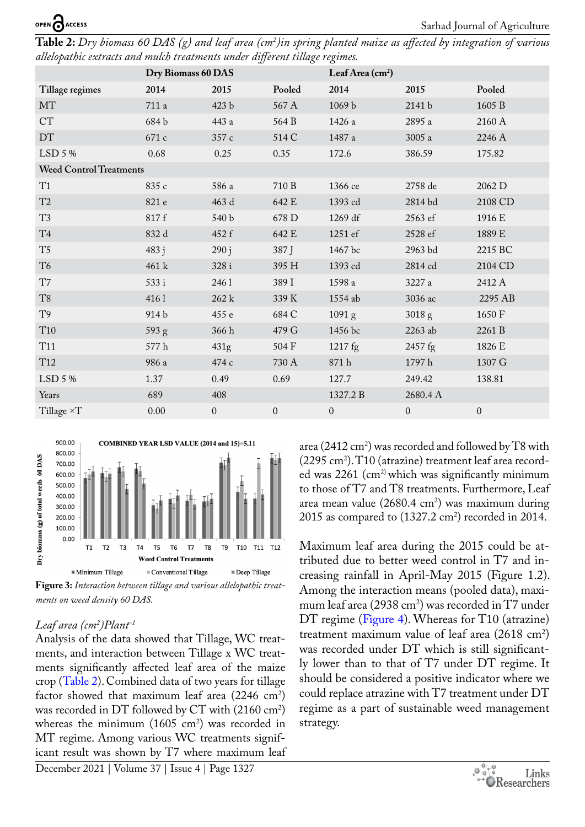<span id="page-4-0"></span>**Table 2:** *Dry biomass 60 DAS (g) and leaf area (cm2 )in spring planted maize as affected by integration of various allelopathic extracts and mulch treatments under different tillage regimes.*

|                                | Dry Biomass 60 DAS |                  |              | Leaf Area (cm <sup>2</sup> ) |                   |              |
|--------------------------------|--------------------|------------------|--------------|------------------------------|-------------------|--------------|
| Tillage regimes                | 2014               | 2015             | Pooled       | 2014                         | 2015              | Pooled       |
| MT                             | 711 a              | 423 b            | 567 A        | 1069 b                       | 2141 b            | 1605 B       |
| <b>CT</b>                      | 684b               | 443 a            | 564 B        | 1426 a                       | 2895 a            | 2160 A       |
| DT                             | 671 c              | 357 c            | 514 C        | 1487 a                       | 3005 a            | 2246 A       |
| LSD 5 %                        | 0.68               | 0.25             | 0.35         | 172.6                        | 386.59            | 175.82       |
| <b>Weed Control Treatments</b> |                    |                  |              |                              |                   |              |
| T1                             | 835 с              | 586 a            | 710 B        | 1366 ce                      | 2758 de           | 2062 D       |
| T2                             | 821 e              | 463 d            | 642 E        | 1393 cd                      | 2814 bd           | 2108 CD      |
| T <sub>3</sub>                 | 817f               | 540 b            | 678 D        | 1269 df                      | 2563 ef           | 1916 E       |
| T <sub>4</sub>                 | 832 d              | 452 f            | 642 E        | 1251 ef                      | 2528 ef           | 1889 E       |
| T <sub>5</sub>                 | 483j               | 290j             | 387 J        | 1467 bc                      | 2963 bd           | 2215 BC      |
| T <sub>6</sub>                 | 461 k              | 328i             | 395 H        | 1393 cd                      | 2814 cd           | 2104 CD      |
| T7                             | 533 i              | 2461             | 389 I        | 1598 a                       | 3227 a            | 2412 A       |
| T <sub>8</sub>                 | 4161               | 262 k            | 339 K        | 1554 ab                      | 3036 ac           | 2295 AB      |
| T <sub>9</sub>                 | 914 b              | 455 e            | 684 C        | 1091 <sub>g</sub>            | 3018 <sub>g</sub> | 1650 F       |
| T <sub>10</sub>                | 593 g              | 366h             | 479 G        | 1456 bc                      | 2263 ab           | 2261 B       |
| <b>T11</b>                     | $577\,\mathrm{h}$  | 431 <sub>g</sub> | 504 F        | 1217 fg                      | 2457 fg           | 1826 E       |
| T <sub>12</sub>                | 986 a              | 474 c            | 730 A        | 871h                         | 1797h             | 1307 G       |
| LSD 5 %                        | 1.37               | 0.49             | 0.69         | 127.7                        | 249.42            | 138.81       |
| Years                          | 689                | 408              |              | 1327.2 B                     | 2680.4 A          |              |
| Tillage ×T                     | 0.00               | $\boldsymbol{0}$ | $\mathbf{0}$ | $\mathbf{0}$                 | $\boldsymbol{0}$  | $\mathbf{0}$ |



<span id="page-4-1"></span>*ments on weed density 60 DAS.*

## *Leaf area (cm2 )Plant-1*

Analysis of the data showed that Tillage, WC treatments, and interaction between Tillage x WC treatments significantly affected leaf area of the maize crop ([Table 2](#page-4-0)). Combined data of two years for tillage factor showed that maximum leaf area  $(2246 \text{ cm}^2)$ was recorded in DT followed by  $CT$  with (2160 cm<sup>2</sup>) whereas the minimum  $(1605 \text{ cm}^2)$  was recorded in MT regime. Among various WC treatments significant result was shown by T7 where maximum leaf

area (2412 cm<sup>2</sup>) was recorded and followed by T8 with  $(2295 \text{ cm}^2)$ . T10 (atrazine) treatment leaf area recorded was 2261 (cm<sup>2)</sup> which was significantly minimum to those of T7 and T8 treatments. Furthermore, Leaf area mean value  $(2680.4 \text{ cm}^2)$  was maximum during  $2015$  as compared to  $(1327.2 \text{ cm}^2)$  recorded in  $2014$ .

Maximum leaf area during the 2015 could be attributed due to better weed control in T7 and increasing rainfall in April-May 2015 (Figure 1.2). Among the interaction means (pooled data), maximum leaf area (2938 cm<sup>2</sup>) was recorded in  $T7$  under DT regime [\(Figure 4\)](#page-5-0). Whereas for T10 (atrazine) treatment maximum value of leaf area  $(2618 \text{ cm}^2)$ was recorded under DT which is still significantly lower than to that of T7 under DT regime. It should be considered a positive indicator where we could replace atrazine with T7 treatment under DT regime as a part of sustainable weed management strategy.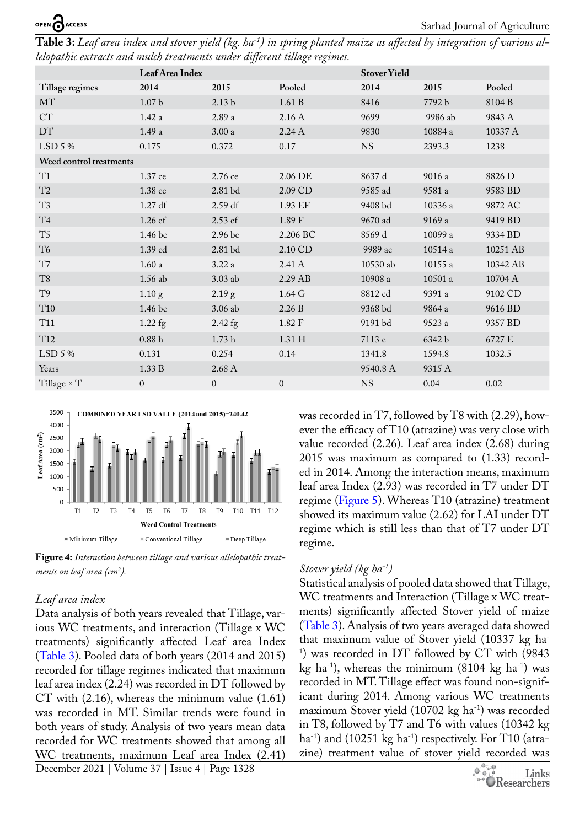<span id="page-5-1"></span>

| Table 3: Leaf area index and stover yield (kg. ha <sup>-1</sup> ) in spring planted maize as affected by integration of various al- |  |  |
|-------------------------------------------------------------------------------------------------------------------------------------|--|--|
| lelopathic extracts and mulch treatments under different tillage regimes.                                                           |  |  |

|                         | Leaf Area Index    |                    |                    | <b>Stover Yield</b> |                |          |
|-------------------------|--------------------|--------------------|--------------------|---------------------|----------------|----------|
| Tillage regimes         | 2014               | 2015               | Pooled             | 2014                | 2015           | Pooled   |
| MT                      | $1.07\,\mathrm{b}$ | 2.13 <sub>b</sub>  | 1.61 B             | 8416                | 7792 b         | 8104 B   |
| <b>CT</b>               | 1.42a              | 2.89 a             | 2.16 A             | 9699                | 9986 ab        | 9843 A   |
| $DT$                    | 1.49a              | $3.00\ \mathrm{a}$ | 2.24A              | 9830                | $10884\ a$     | 10337 A  |
| LSD 5 %                 | 0.175              | 0.372              | 0.17               | <b>NS</b>           | 2393.3         | 1238     |
| Weed control treatments |                    |                    |                    |                     |                |          |
| T1                      | 1.37 ce            | 2.76 ce            | 2.06 DE            | 8637 d              | 9016 a         | 8826 D   |
| T <sub>2</sub>          | 1.38 ce            | $2.81$ bd          | 2.09 CD            | 9585 ad             | 9581 a         | 9583 BD  |
| T <sub>3</sub>          | 1.27 df            | 2.59 df            | 1.93 EF            | 9408 bd             | 10336 a        | 9872 AC  |
| T <sub>4</sub>          | 1.26 ef            | 2.53 ef            | 1.89 F             | 9670 ad             | 9169 a         | 9419 BD  |
| $\rm{T}5$               | 1.46 bc            | 2.96 bc            | 2.206 BC           | 8569 d              | 10099 a        | 9334 BD  |
| T <sub>6</sub>          | 1.39 cd            | $2.81\;\rm{bd}$    | 2.10 CD            | 9989 ac             | 10514 a        | 10251 AB |
| T7                      | 1.60a              | 3.22a              | 2.41 A             | 10530 ab            | $10155$ a      | 10342 AB |
| T <sub>8</sub>          | $1.56$ ab          | 3.03 ab            | 2.29 AB            | 10908 a             | $10501$ a $\,$ | 10704 A  |
| T <sub>9</sub>          | 1.10 g             | 2.19 g             | $1.64\,\mathrm{G}$ | 8812 cd             | 9391 a         | 9102 CD  |
| T <sub>10</sub>         | 1.46 bc            | 3.06 ab            | 2.26 B             | 9368 bd             | 9864 a         | 9616 BD  |
| T11                     | $1.22$ fg          | $2.42$ fg          | 1.82 F             | 9191 bd             | 9523 a         | 9357 BD  |
| T <sub>12</sub>         | $0.88~\mathrm{h}$  | 1.73h              | $1.31\ \mathrm{H}$ | 7113 e              | 6342 b         | 6727 E   |
| LSD 5 %                 | 0.131              | 0.254              | 0.14               | 1341.8              | 1594.8         | 1032.5   |
| Years                   | 1.33 B             | 2.68 A             |                    | 9540.8 A            | 9315 A         |          |
| Tillage $\times T$      | $\boldsymbol{0}$   | $\overline{0}$     | $\mathbf{0}$       | <b>NS</b>           | 0.04           | 0.02     |
|                         |                    |                    |                    |                     |                |          |



<span id="page-5-0"></span>**Figure 4:** *Interaction between tillage and various allelopathic treatments on leaf area (cm2 ).*

#### *Leaf area index*

December 2021 | Volume 37 | Issue 4 | Page 1328 Data analysis of both years revealed that Tillage, various WC treatments, and interaction (Tillage x WC treatments) significantly affected Leaf area Index ([Table 3](#page-5-1)). Pooled data of both years (2014 and 2015) recorded for tillage regimes indicated that maximum leaf area index (2.24) was recorded in DT followed by CT with (2.16), whereas the minimum value (1.61) was recorded in MT. Similar trends were found in both years of study. Analysis of two years mean data recorded for WC treatments showed that among all WC treatments, maximum Leaf area Index (2.41)

was recorded in T7, followed by T8 with (2.29), however the efficacy of T10 (atrazine) was very close with value recorded (2.26). Leaf area index (2.68) during 2015 was maximum as compared to (1.33) recorded in 2014. Among the interaction means, maximum leaf area Index (2.93) was recorded in T7 under DT regime ([Figure 5\)](#page-6-0). Whereas T10 (atrazine) treatment showed its maximum value (2.62) for LAI under DT regime which is still less than that of T7 under DT regime.

## *Stover yield (kg ha-1)*

Statistical analysis of pooled data showed that Tillage, WC treatments and Interaction (Tillage x WC treatments) significantly affected Stover yield of maize ([Table 3](#page-5-1)). Analysis of two years averaged data showed that maximum value of Stover yield (10337 kg ha-1 ) was recorded in DT followed by CT with (9843 kg ha<sup>-1</sup>), whereas the minimum  $(8104 \text{ kg} \text{ ha}^{-1})$  was recorded in MT. Tillage effect was found non-significant during 2014. Among various WC treatments maximum Stover yield  $(10702 \text{ kg ha}^{-1})$  was recorded in T8, followed by T7 and T6 with values (10342 kg ha<sup>-1</sup>) and (10251 kg ha<sup>-1</sup>) respectively. For T10 (atrazine) treatment value of stover yield recorded was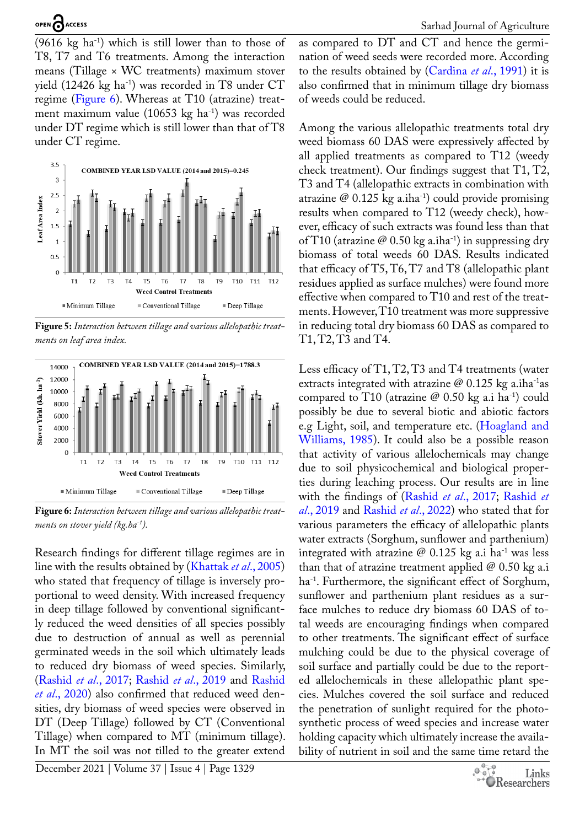$(9616 \text{ kg} \text{ ha}^{-1})$  which is still lower than to those of T8, T7 and T6 treatments. Among the interaction means (Tillage × WC treatments) maximum stover yield  $(12426 \text{ kg ha}^{-1})$  was recorded in T8 under CT regime ([Figure 6\)](#page-6-1). Whereas at T10 (atrazine) treatment maximum value (10653 kg ha<sup>-1</sup>) was recorded under DT regime which is still lower than that of T8 under CT regime.



<span id="page-6-0"></span>**Figure 5:** *Interaction between tillage and various allelopathic treatments on leaf area index.*



<span id="page-6-1"></span>**Figure 6:** *Interaction between tillage and various allelopathic treatments on stover yield (kg.ha-1).*

Research findings for different tillage regimes are in line with the results obtained by ([Khattak](#page-9-6) *et al*., 2005) who stated that frequency of tillage is inversely proportional to weed density. With increased frequency in deep tillage followed by conventional significantly reduced the weed densities of all species possibly due to destruction of annual as well as perennial germinated weeds in the soil which ultimately leads to reduced dry biomass of weed species. Similarly, [\(Rashid](#page-9-4) *et al*., 2017; [Rashid](#page-9-4) *et al*., 2019 and [Rashid](#page-9-4) *et al*[., 2020](#page-9-4)) also confirmed that reduced weed densities, dry biomass of weed species were observed in DT (Deep Tillage) followed by CT (Conventional Tillage) when compared to MT (minimum tillage). In MT the soil was not tilled to the greater extend

December 2021 | Volume 37 | Issue 4 | Page 1329

as compared to DT and CT and hence the germination of weed seeds were recorded more. According to the results obtained by [\(Cardina](#page-8-7) *et al*., 1991) it is also confirmed that in minimum tillage dry biomass of weeds could be reduced.

Among the various allelopathic treatments total dry weed biomass 60 DAS were expressively affected by all applied treatments as compared to T12 (weedy check treatment). Our findings suggest that T1, T2, T3 and T4 (allelopathic extracts in combination with atrazine  $\varnothing$  0.125 kg a.iha<sup>-1</sup>) could provide promising results when compared to T12 (weedy check), however, efficacy of such extracts was found less than that of T10 (atrazine  $\mathcal{O}(0.50 \text{ kg a.iha}^{-1})$  in suppressing dry biomass of total weeds 60 DAS. Results indicated that efficacy of T5, T6, T7 and T8 (allelopathic plant residues applied as surface mulches) were found more effective when compared to T10 and rest of the treatments. However, T10 treatment was more suppressive in reducing total dry biomass 60 DAS as compared to T1, T2, T3 and T4.

Less efficacy of T1, T2, T3 and T4 treatments (water extracts integrated with atrazine  $\mathcal{Q}$  0.125 kg a.iha<sup>-1</sup>as compared to T10 (atrazine  $@$  0.50 kg a.i ha<sup>-1</sup>) could possibly be due to several biotic and abiotic factors e.g Light, soil, and temperature etc. ([Hoagland and](#page-9-7)  [Williams, 1985\)](#page-9-7). It could also be a possible reason that activity of various allelochemicals may change due to soil physicochemical and biological properties during leaching process. Our results are in line with the findings of [\(Rashid](#page-9-4) *et al*., 2017; [Rashid](#page-9-4) *et al*[., 2019](#page-9-4) and [Rashid](#page-9-4) *et al*., 2022) who stated that for various parameters the efficacy of allelopathic plants water extracts (Sorghum, sunflower and parthenium) integrated with atrazine  $\varnothing$  0.125 kg a.i ha<sup>-1</sup> was less than that of atrazine treatment applied  $\varnothing$  0.50 kg a.i ha<sup>-1</sup>. Furthermore, the significant effect of Sorghum, sunflower and parthenium plant residues as a surface mulches to reduce dry biomass 60 DAS of total weeds are encouraging findings when compared to other treatments. The significant effect of surface mulching could be due to the physical coverage of soil surface and partially could be due to the reported allelochemicals in these allelopathic plant species. Mulches covered the soil surface and reduced the penetration of sunlight required for the photosynthetic process of weed species and increase water holding capacity which ultimately increase the availability of nutrient in soil and the same time retard the

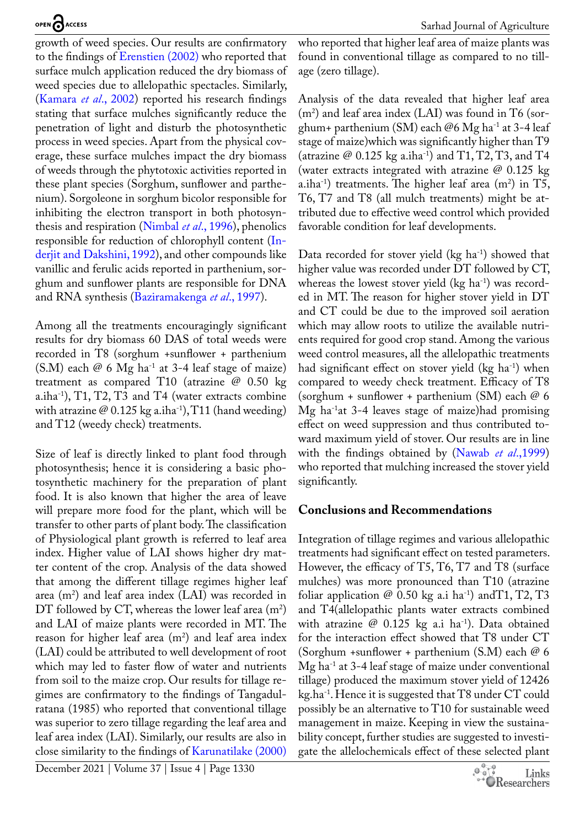growth of weed species. Our results are confirmatory to the findings of [Erenstien \(2002\)](#page-8-8) who reported that surface mulch application reduced the dry biomass of weed species due to allelopathic spectacles. Similarly, ([Kamara](#page-9-8) *et al*., 2002) reported his research findings stating that surface mulches significantly reduce the penetration of light and disturb the photosynthetic process in weed species. Apart from the physical coverage, these surface mulches impact the dry biomass of weeds through the phytotoxic activities reported in these plant species (Sorghum, sunflower and parthenium). Sorgoleone in sorghum bicolor responsible for inhibiting the electron transport in both photosynthesis and respiration ([Nimbal](#page-9-9) *et al*., 1996), phenolics responsible for reduction of chlorophyll content ([In](#page-9-10)[derjit and Dakshini, 1992](#page-9-10)), and other compounds like vanillic and ferulic acids reported in parthenium, sorghum and sunflower plants are responsible for DNA and RNA synthesis ([Baziramakenga](#page-8-9) *et al*., 1997).

Among all the treatments encouragingly significant results for dry biomass 60 DAS of total weeds were recorded in T8 (sorghum *+*sunflower + parthenium (S.M) each  $\varnothing$  6 Mg ha<sup>-1</sup> at 3-4 leaf stage of maize) treatment as compared T10 (atrazine  $\varnothing$  0.50 kg a.iha-1), T1, T2, T3 and T4 (water extracts combine with atrazine  $\mathcal{Q}(0.125 \text{ kg a.iha}^{-1})$ , T11 (hand weeding) and T12 (weedy check) treatments.

Size of leaf is directly linked to plant food through photosynthesis; hence it is considering a basic photosynthetic machinery for the preparation of plant food. It is also known that higher the area of leave will prepare more food for the plant, which will be transfer to other parts of plant body. The classification of Physiological plant growth is referred to leaf area index. Higher value of LAI shows higher dry matter content of the crop. Analysis of the data showed that among the different tillage regimes higher leaf area  $(m^2)$  and leaf area index (LAI) was recorded in DT followed by CT, whereas the lower leaf area  $(m^2)$ and LAI of maize plants were recorded in MT. The reason for higher leaf area  $(m<sup>2</sup>)$  and leaf area index (LAI) could be attributed to well development of root which may led to faster flow of water and nutrients from soil to the maize crop. Our results for tillage regimes are confirmatory to the findings of Tangadulratana (1985) who reported that conventional tillage was superior to zero tillage regarding the leaf area and leaf area index (LAI). Similarly, our results are also in close similarity to the findings of [Karunatilake \(2000\)](#page-9-11) 

who reported that higher leaf area of maize plants was found in conventional tillage as compared to no tillage (zero tillage).

Analysis of the data revealed that higher leaf area  $(m<sup>2</sup>)$  and leaf area index (LAI) was found in T6 (sorghum+ parthenium (SM) each @6 Mg ha<sup>-1</sup> at 3-4 leaf stage of maize)which was significantly higher than T9 (atrazine  $\varnothing$  0.125 kg a.iha<sup>-1</sup>) and T1, T2, T3, and T4 (water extracts integrated with atrazine  $\omega$  0.125 kg a.iha<sup>-1</sup>) treatments. The higher leaf area  $(m^2)$  in T5, T6, T7 and T8 (all mulch treatments) might be attributed due to effective weed control which provided favorable condition for leaf developments.

Data recorded for stover yield  $(kg ha<sup>-1</sup>)$  showed that higher value was recorded under DT followed by CT, whereas the lowest stover yield  $(kg ha<sup>-1</sup>)$  was recorded in MT. The reason for higher stover yield in DT and CT could be due to the improved soil aeration which may allow roots to utilize the available nutrients required for good crop stand. Among the various weed control measures, all the allelopathic treatments had significant effect on stover yield  $(kg ha<sup>-1</sup>)$  when compared to weedy check treatment. Efficacy of T8 (sorghum + sunflower + parthenium (SM) each  $@$  6 Mg ha-1at 3-4 leaves stage of maize)had promising effect on weed suppression and thus contributed toward maximum yield of stover. Our results are in line with the findings obtained by [\(Nawab](#page-9-12) *et al*.,1999) who reported that mulching increased the stover yield significantly.

## **Conclusions and Recommendations**

Integration of tillage regimes and various allelopathic treatments had significant effect on tested parameters. However, the efficacy of T5, T6, T7 and T8 (surface mulches) was more pronounced than T10 (atrazine foliar application  $\varnothing$  0.50 kg a.i ha<sup>-1</sup>) and T1, T2, T3 and T4(allelopathic plants water extracts combined with atrazine  $\mathcal{Q}$  0.125 kg a.i ha<sup>-1</sup>). Data obtained for the interaction effect showed that T8 under CT (Sorghum *+*sunflower + parthenium (S.M) each @ 6  $Mg$  ha<sup>-1</sup> at 3-4 leaf stage of maize under conventional tillage) produced the maximum stover yield of 12426 kg.ha-1. Hence it is suggested that T8 under CT could possibly be an alternative to T10 for sustainable weed management in maize. Keeping in view the sustainability concept, further studies are suggested to investigate the allelochemicals effect of these selected plant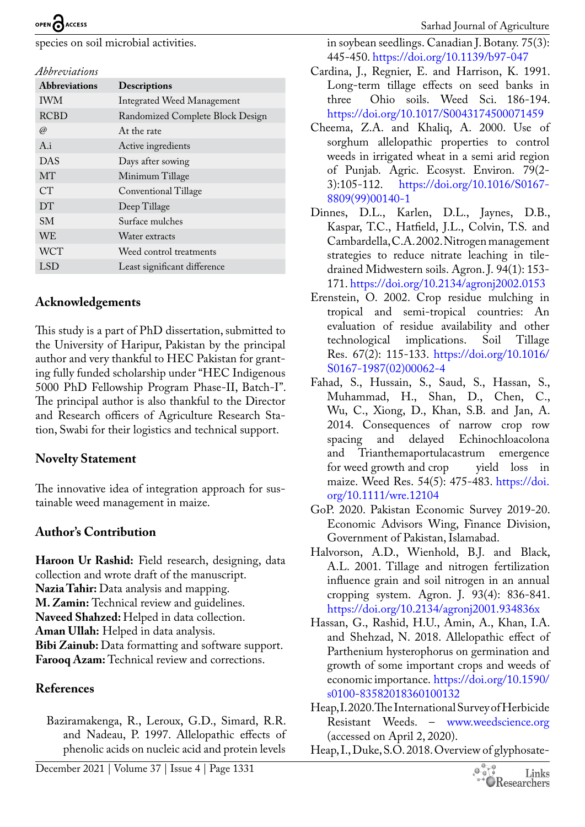species on soil microbial activities.

#### *Abbreviations*

| <b>Abbreviations</b> | <b>Descriptions</b>              |
|----------------------|----------------------------------|
| <b>IWM</b>           | Integrated Weed Management       |
| <b>RCBD</b>          | Randomized Complete Block Design |
| @)                   | At the rate                      |
| $A_i$                | Active ingredients               |
| <b>DAS</b>           | Days after sowing                |
| MT                   | Minimum Tillage                  |
| CT                   | Conventional Tillage             |
| <b>DT</b>            | Deep Tillage                     |
| SM.                  | Surface mulches                  |
| <b>WE</b>            | Water extracts                   |
| <b>WCT</b>           | Weed control treatments          |
| LSD <sub>1</sub>     | Least significant difference     |

#### **Acknowledgements**

This study is a part of PhD dissertation, submitted to the University of Haripur, Pakistan by the principal author and very thankful to HEC Pakistan for granting fully funded scholarship under "HEC Indigenous 5000 PhD Fellowship Program Phase-II, Batch-I". The principal author is also thankful to the Director and Research officers of Agriculture Research Station, Swabi for their logistics and technical support.

## **Novelty Statement**

The innovative idea of integration approach for sustainable weed management in maize.

## **Author's Contribution**

**Haroon Ur Rashid:** Field research, designing, data collection and wrote draft of the manuscript. **Nazia Tahir:** Data analysis and mapping. **M. Zamin:** Technical review and guidelines. **Naveed Shahzed:** Helped in data collection. **Aman Ullah:** Helped in data analysis. **Bibi Zainub:** Data formatting and software support. **Farooq Azam:** Technical review and corrections.

## **References**

<span id="page-8-9"></span>Baziramakenga, R., Leroux, G.D., Simard, R.R. and Nadeau, P. 1997. Allelopathic effects of phenolic acids on nucleic acid and protein levels

in soybean seedlings. Canadian J. Botany. 75(3): 445-450.<https://doi.org/10.1139/b97-047>

- <span id="page-8-7"></span>Cardina, J., Regnier, E. and Harrison, K. 1991. Long-term tillage effects on seed banks in three Ohio soils. Weed Sci. 186-194. <https://doi.org/10.1017/S0043174500071459>
- Cheema, Z.A. and Khaliq, A. 2000. Use of sorghum allelopathic properties to control weeds in irrigated wheat in a semi arid region of Punjab. Agric. Ecosyst. Environ. 79(2- 3):105-112. [https://doi.org/10.1016/S0167-](https://doi.org/10.1016/S0167-8809(99)00140-1) [8809\(99\)00140-1](https://doi.org/10.1016/S0167-8809(99)00140-1)
- <span id="page-8-6"></span>Dinnes, D.L., Karlen, D.L., Jaynes, D.B., Kaspar, T.C., Hatfield, J.L., Colvin, T.S. and Cambardella, C.A. 2002. Nitrogen management strategies to reduce nitrate leaching in tiledrained Midwestern soils. Agron. J. 94(1): 153- 171.<https://doi.org/10.2134/agronj2002.0153>
- <span id="page-8-8"></span>Erenstein, O. 2002. Crop residue mulching in tropical and semi-tropical countries: An evaluation of residue availability and other technological implications. Soil Tillage Res. 67(2): 115-133. [https://doi.org/10.1016/](https://doi.org/10.1016/S0167-1987(02)00062-4) [S0167-1987\(02\)00062-4](https://doi.org/10.1016/S0167-1987(02)00062-4)
- <span id="page-8-1"></span>Fahad, S., Hussain, S., Saud, S., Hassan, S., Muhammad, H., Shan, D., Chen, C., Wu, C., Xiong, D., Khan, S.B. and Jan, A. 2014. Consequences of narrow crop row spacing and delayed Echinochloacolona and Trianthemaportulacastrum emergence for weed growth and crop yield loss in maize. Weed Res. 54(5): 475-483. [https://doi.](https://doi.org/10.1111/wre.12104) [org/10.1111/wre.12104](https://doi.org/10.1111/wre.12104)
- <span id="page-8-0"></span>GoP. 2020. Pakistan Economic Survey 2019-20. Economic Advisors Wing, Finance Division, Government of Pakistan, Islamabad.
- <span id="page-8-5"></span>Halvorson, A.D., Wienhold, B.J. and Black, A.L. 2001. Tillage and nitrogen fertilization influence grain and soil nitrogen in an annual cropping system. Agron. J. 93(4): 836-841. <https://doi.org/10.2134/agronj2001.934836x>
- <span id="page-8-4"></span>Hassan, G., Rashid, H.U., Amin, A., Khan, I.A. and Shehzad, N. 2018. Allelopathic effect of Parthenium hysterophorus on germination and growth of some important crops and weeds of economic importance. [https://doi.org/10.1590/](https://doi.org/10.1590/s0100-83582018360100132) [s0100-83582018360100132](https://doi.org/10.1590/s0100-83582018360100132)
- <span id="page-8-2"></span>Heap, I. 2020. The International Survey of Herbicide Resistant Weeds. – [www.weedscience.org](http://www.weedscience.org) (accessed on April 2, 2020).
- <span id="page-8-3"></span>Heap, I., Duke, S.O. 2018. Overview of glyphosate-

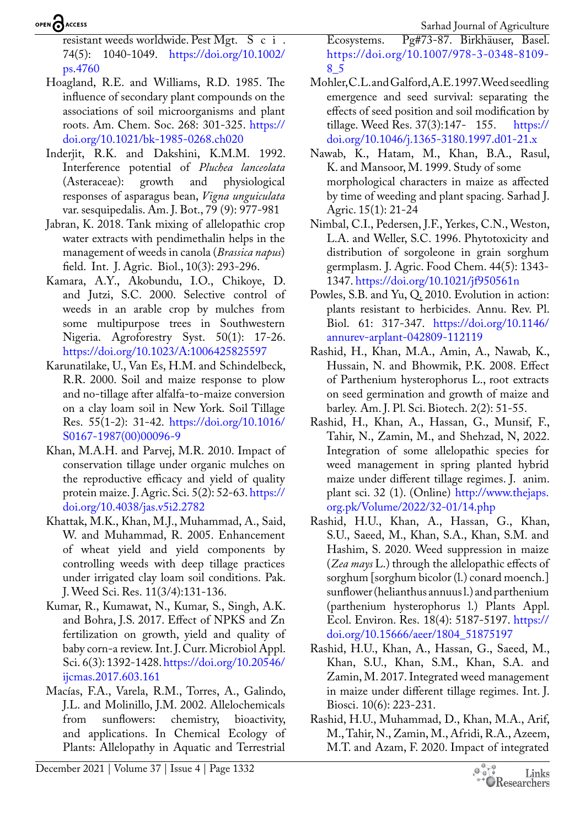## OPEN CACCESS

resistant weeds worldwide. Pest Mgt. S c i . 74(5): 1040-1049. [https://doi.org/10.1002/](https://doi.org/10.1002/ps.4760) [ps.4760](https://doi.org/10.1002/ps.4760)

- <span id="page-9-7"></span>Hoagland, R.E. and Williams, R.D. 1985. The influence of secondary plant compounds on the associations of soil microorganisms and plant roots. Am. Chem. Soc. 268: 301-325. [https://](https://doi.org/10.1021/bk-1985-0268.ch020) [doi.org/10.1021/bk-1985-0268.ch020](https://doi.org/10.1021/bk-1985-0268.ch020)
- <span id="page-9-10"></span>Inderjit, R.K. and Dakshini, K.M.M. 1992. Interference potential of *Pluchea lanceolata* (Asteraceae): growth and physiological responses of asparagus bean, *Vigna unguiculata*  var. sesquipedalis. Am. J. Bot., 79 (9): 977-981
- <span id="page-9-2"></span>Jabran, K. 2018. Tank mixing of allelopathic crop water extracts with pendimethalin helps in the management of weeds in canola (*Brassica napus*) field. Int. J. Agric. Biol., 10(3): 293-296.
- <span id="page-9-8"></span>Kamara, A.Y., Akobundu, I.O., Chikoye, D. and Jutzi, S.C. 2000. Selective control of weeds in an arable crop by mulches from some multipurpose trees in Southwestern Nigeria. Agroforestry Syst. 50(1): 17-26. <https://doi.org/10.1023/A:1006425825597>
- <span id="page-9-11"></span>Karunatilake, U., Van Es, H.M. and Schindelbeck, R.R. 2000. Soil and maize response to plow and no-tillage after alfalfa-to-maize conversion on a clay loam soil in New York. Soil Tillage Res. 55(1-2): 31-42. [https://doi.org/10.1016/](https://doi.org/10.1016/S0167-1987(00)00096-9) [S0167-1987\(00\)00096-9](https://doi.org/10.1016/S0167-1987(00)00096-9)
- <span id="page-9-1"></span>Khan, M.A.H. and Parvej, M.R. 2010. Impact of conservation tillage under organic mulches on the reproductive efficacy and yield of quality protein maize. J. Agric. Sci. 5(2): 52-63. [https://](https://doi.org/10.4038/jas.v5i2.2782) [doi.org/10.4038/jas.v5i2.2782](https://doi.org/10.4038/jas.v5i2.2782)
- <span id="page-9-6"></span>Khattak, M.K., Khan, M.J., Muhammad, A., Said, W. and Muhammad, R. 2005. Enhancement of wheat yield and yield components by controlling weeds with deep tillage practices under irrigated clay loam soil conditions. Pak. J. Weed Sci. Res. 11(3/4):131-136.
- <span id="page-9-0"></span>Kumar, R., Kumawat, N., Kumar, S., Singh, A.K. and Bohra, J.S. 2017. Effect of NPKS and Zn fertilization on growth, yield and quality of baby corn-a review. Int. J. Curr. Microbiol Appl. Sci. 6(3): 1392-1428. [https://doi.org/10.20546/](https://doi.org/10.20546/ijcmas.2017.603.161) [ijcmas.2017.603.161](https://doi.org/10.20546/ijcmas.2017.603.161)
- Macías, F.A., Varela, R.M., Torres, A., Galindo, J.L. and Molinillo, J.M. 2002. Allelochemicals from sunflowers: chemistry, bioactivity, and applications. In Chemical Ecology of Plants: Allelopathy in Aquatic and Terrestrial

Ecosystems. Pg#73-87. Birkhäuser, Basel. [https://doi.org/10.1007/978-3-0348-8109-](https://doi.org/10.1007/978-3-0348-8109-8_5) [8\\_5](https://doi.org/10.1007/978-3-0348-8109-8_5)

- <span id="page-9-5"></span>Mohler, C.L. and Galford, A.E. 1997. Weed seedling emergence and seed survival: separating the effects of seed position and soil modification by tillage. Weed Res. 37(3):147- 155. [https://](https://doi.org/10.1046/j.1365-3180.1997.d01-21.x) [doi.org/10.1046/j.1365-3180.1997.d01-21.x](https://doi.org/10.1046/j.1365-3180.1997.d01-21.x)
- <span id="page-9-12"></span>Nawab, K., Hatam, M., Khan, B.A., Rasul, K. and Mansoor, M. 1999. Study of some morphological characters in maize as affected by time of weeding and plant spacing. Sarhad J. Agric. 15(1): 21-24
- <span id="page-9-9"></span>Nimbal, C.I., Pedersen, J.F., Yerkes, C.N., Weston, L.A. and Weller, S.C. 1996. Phytotoxicity and distribution of sorgoleone in grain sorghum germplasm. J. Agric. Food Chem. 44(5): 1343- 1347. <https://doi.org/10.1021/jf950561n>
- <span id="page-9-3"></span>Powles, S.B. and Yu, Q. 2010. Evolution in action: plants resistant to herbicides. Annu. Rev. Pl. Biol. 61: 317-347. [https://doi.org/10.1146/](https://doi.org/10.1146/annurev-arplant-042809-112119) [annurev-arplant-042809-112119](https://doi.org/10.1146/annurev-arplant-042809-112119)
- Rashid, H., Khan, M.A., Amin, A., Nawab, K., Hussain, N. and Bhowmik, P.K. 2008. Effect of Parthenium hysterophorus L., root extracts on seed germination and growth of maize and barley. Am. J. Pl. Sci. Biotech. 2(2): 51-55.
- <span id="page-9-4"></span>Rashid, H., Khan, A., Hassan, G., Munsif, F., Tahir, N., Zamin, M., and Shehzad, N, 2022. Integration of some allelopathic species for weed management in spring planted hybrid maize under different tillage regimes. J. anim. plant sci. 32 (1). (Online) [http://www.thejaps.](http://www.thejaps.org.pk/Volume/2022/32-01/14.php) [org.pk/Volume/2022/32-01/14.php](http://www.thejaps.org.pk/Volume/2022/32-01/14.php)
- Rashid, H.U., Khan, A., Hassan, G., Khan, S.U., Saeed, M., Khan, S.A., Khan, S.M. and Hashim, S. 2020. Weed suppression in maize (*Zea mays* L.) through the allelopathic effects of sorghum [sorghum bicolor (l.) conard moench.] sunflower (helianthus annuus l.) and parthenium (parthenium hysterophorus l.) Plants Appl. Ecol. Environ. Res. 18(4): 5187-5197. [https://](https://doi.org/10.15666/aeer/1804_51875197) [doi.org/10.15666/aeer/1804\\_51875197](https://doi.org/10.15666/aeer/1804_51875197)
- Rashid, H.U., Khan, A., Hassan, G., Saeed, M., Khan, S.U., Khan, S.M., Khan, S.A. and Zamin, M. 2017. Integrated weed management in maize under different tillage regimes. Int. J. Biosci. 10(6): 223-231.
- Rashid, H.U., Muhammad, D., Khan, M.A., Arif, M., Tahir, N., Zamin, M., Afridi, R.A., Azeem, M.T. and Azam, F. 2020. Impact of integrated